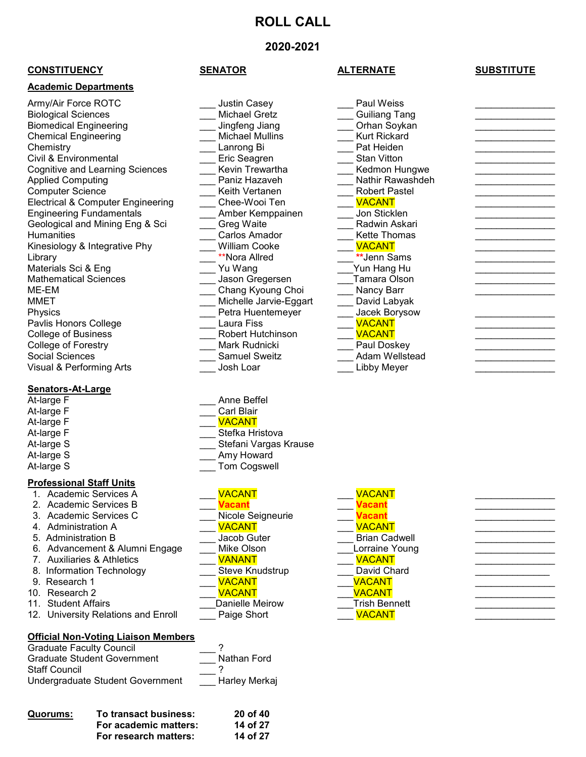# **ROLL CALL**

# **2020-2021**

### **CONSTITUENCY SENATOR ALTERNATE SUBSTITUTE**

### **Academic Departments**

Army/Air Force ROTC **Army-Listin Casey Army-Air Casey** Paul Weiss **Paul Weiss** Biological Sciences \_\_\_ Michael Gretz \_\_\_ Guiliang Tang \_\_\_\_\_\_\_\_\_\_\_\_\_\_\_ Biomedical Engineering \_\_\_ Jingfeng Jiang \_\_\_ Orhan Soykan \_\_\_\_\_\_\_\_\_\_\_\_\_\_\_ Chemical Engineering **Engineering** The Michael Mullins **Chemistry** Kurt Rickard Chemistry Chemistry \_\_\_\_\_\_\_\_\_\_\_\_\_\_\_\_\_\_\_\_\_\_\_\_\_\_\_\_\_\_\_\_Lanrong Bi \_\_\_\_\_\_\_\_\_\_\_\_\_\_\_\_\_\_\_\_\_\_\_\_\_\_\_\_ Civil & Environmental \_\_\_ Eric Seagren \_\_\_ Stan Vitton \_\_\_\_\_\_\_\_\_\_\_\_\_\_\_ Cognitive and Learning Sciences  $\overline{\phantom{a}}$  Kevin Trewartha  $\overline{\phantom{a}}$  Kedmon Hungwe Applied Computing Applied Computing Applied Computing<br>
Computer Science<br>
Computer Science<br>
Computer Science<br>
Computer Science<br>
Computer Science Electrical & Computer Engineering \_\_\_ Chee-Wooi Ten \_\_\_ VACANT \_\_\_\_\_\_\_\_\_\_\_\_\_\_\_ Engineering Fundamentals \_\_\_ Amber Kemppainen \_\_\_ Jon Sticklen \_\_\_\_\_\_\_\_\_\_\_\_\_\_\_ Geological and Mining Eng & Sci Humanities **Example 20** Carlos Amador **Carlos Amador** Kette Thomas **Carlos** Amador Kinesiology & Integrative Phy \_\_\_ William Cooke \_\_\_ VACANT \_\_\_\_\_\_\_\_\_\_\_\_\_\_\_ Library \_\_\_ \*\*Nora Allred \_\_\_ **\*\***Jenn Sams \_\_\_\_\_\_\_\_\_\_\_\_\_\_\_ Materials Sci & Eng \_\_\_ Yu Wang \_\_\_Yun Hang Hu \_\_\_\_\_\_\_\_\_\_\_\_\_\_\_ Mathematical Sciences \_\_\_ Jason Gregersen \_\_\_Tamara Olson \_\_\_\_\_\_\_\_\_\_\_\_\_\_\_ MMET \_\_\_ Michelle Jarvie-Eggart \_\_\_ David Labyak Physics Physics **Physics** Petra Huentemeyer Pavlis Honors College \_\_\_ Laura Fiss <mark>VACANT</mark><br>College of Business Robert Hutchinson <mark>VACANT</mark> College of Business \_\_\_ Robert Hutchinson \_\_\_ VACANT \_\_\_\_\_\_\_\_\_\_\_\_\_\_\_ College of Forestry<br>Social Sciences Visual & Performing Arts **With Contact Article Contact Contact Article Contact Article Contact Article Contact Contact Contact Article Contact Article Contact Article Contact Article Contact Article Contact Article Contact** 

# **Senators-At-Large**

At-large F At-large F At-large F At-large S At-large S

### **Professional Staff Units**

- 
- 2. Academic Services B 3. Academic Services C
- 4. Administration A \_\_\_ VACANT \_\_\_ VACANT \_\_\_\_\_\_\_\_\_\_\_\_\_\_\_
- 5. Administration B \_\_\_ Jacob Guter \_\_\_ Brian Cadwell \_\_\_\_\_\_\_\_\_\_\_\_\_\_\_
- 
- 7. Auxiliaries & Athletics
- 8. Information Technology \_\_\_\_\_\_\_\_\_\_\_\_\_\_\_\_\_Steve Knudstrup
- 
- 
- 
- 11. Student Affairs \_\_\_Danielle Meirow \_\_\_Trish Bennett \_\_\_\_\_\_\_\_\_\_\_\_\_\_\_ 12. University Relations and Enroll

## **Official Non-Voting Liaison Members**

| <b>Graduate Faculty Council</b>    |               |
|------------------------------------|---------------|
| <b>Graduate Student Government</b> | Nathan Ford   |
| <b>Staff Council</b>               |               |
| Undergraduate Student Government   | Harley Merkaj |

| Quorums: | To transact business: | 20 of 40 |
|----------|-----------------------|----------|
|          | For academic matters: | 14 of 27 |
|          | For research matters: | 14 of 27 |

| ٠<br>N<br>П<br>,<br>1<br>- 1 |  |
|------------------------------|--|
|                              |  |

<u>Com</u> Keith Vertanen

# Chang Kyoung Choi \_\_\_\_\_\_\_\_\_ Nancy Barr<br>Michelle Jarvie-Eggart \_\_\_\_\_\_\_ David Labyak Social Sciences \_\_\_ Samuel Sweitz \_\_\_ Adam Wellstead \_\_\_\_\_\_\_\_\_\_\_\_\_\_\_

| At-large F                                         | Carl Blair            |               |
|----------------------------------------------------|-----------------------|---------------|
| At-large F                                         | <b>VACANT</b>         |               |
| At-large F                                         | Stefka Hristova       |               |
| At-large S                                         | Stefani Vargas Krause |               |
| At-large S                                         | Amy Howard            |               |
| At-large S                                         | Tom Cogswell          |               |
| <b>Professional Staff Units</b>                    |                       |               |
| 1. Academic Services A                             | <b>VACANT</b>         | <b>VACANT</b> |
| 2. Academic Services B                             | <b>Vacant</b>         | <b>Vacant</b> |
| 3. Academic Services C                             | Nicole Seigneurie     | Vacant        |
| $\Lambda$ $\Lambda$ also be been also as $\Lambda$ |                       |               |

Anne Beffel

| 2. Academic Services B              |                   | <b>Jacan</b>         |  |
|-------------------------------------|-------------------|----------------------|--|
| 3. Academic Services C              | Nicole Seigneurie | /acant               |  |
| 4. Administration A                 | <b>VACANT</b>     | <b>VACANT</b>        |  |
| 5. Administration B                 | Jacob Guter       | <b>Brian Cadwell</b> |  |
| 6. Advancement & Alumni Engage      | Mike Olson        | Lorraine Young       |  |
| 7. Auxiliaries & Athletics          | <b>VANANT</b>     | <b>VACANT</b>        |  |
| 8. Information Technology           | Steve Knudstrup   | David Chard          |  |
| 9. Research 1                       | <b>VACANT</b>     | <b>VACANT</b>        |  |
| 10. Research 2                      | <b>VACANT</b>     | <b>VACANT</b>        |  |
| 11. Student Affairs                 | Danielle Meirow   | <b>Trish Bennett</b> |  |
| 12. University Relations and Enroll | Paige Short       | <b>VACANT</b>        |  |